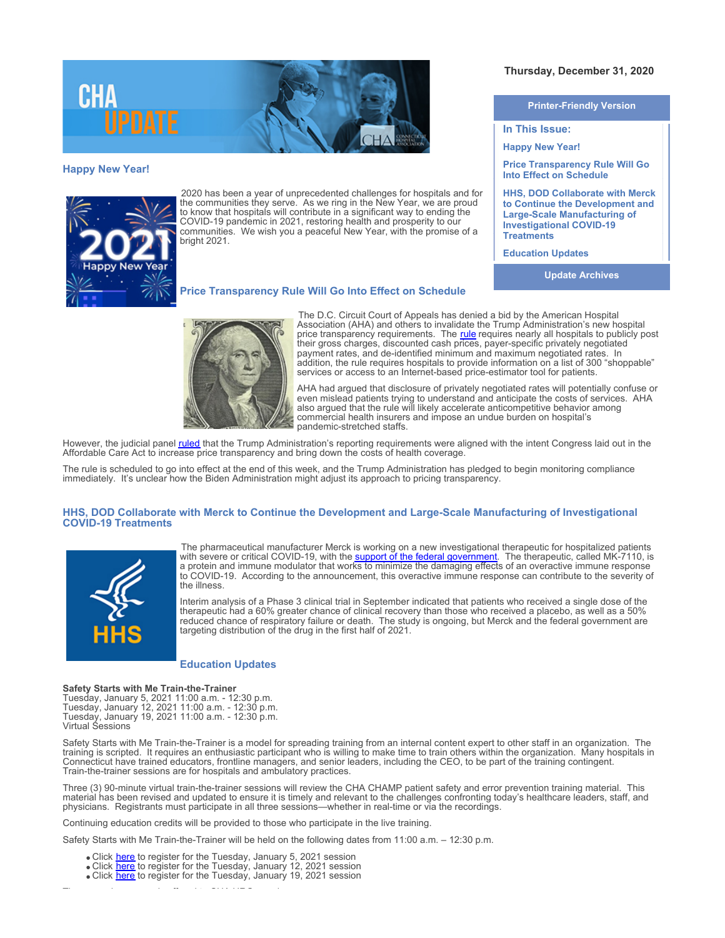

## **Happy New Year!**



2020 has been a year of unprecedented challenges for hospitals and for the communities they serve. As we ring in the New Year, we are proud to know that hospitals will contribute in a significant way to ending the COVID-19 pandemic in 2021, restoring health and prosperity to our communities. We wish you a peaceful New Year, with the promise of a bright 2021.

## **Printer-Friendly Version**

**Thursday, December 31, 2020** 

**In This Issue:**

**Happy New Year!**

**Price Transparency Rule Will Go Into Effect on Schedule**

**HHS, DOD Collaborate with Merck to Continue the Development and Large-Scale Manufacturing of Investigational COVID-19 Treatments**

**Education Updates**

**Update Archives**

The D.C. Circuit Court of Appeals has denied a bid by the American Hospital Association (AHA) and others to invalidate the Trump Administration's new hospital price transparency requirements. The [rule](https://www.cms.gov/hospital-price-transparency) requires nearly all hospitals to publicly post their gross charges, discounted cash prices, payer-specific privately negotiated payment rates, and de-identified minimum and maximum negotiated rates. In addition, the rule requires hospitals to provide information on a list of 300 "shoppable" services or access to an Internet-based price-estimator tool for patients.

AHA had argued that disclosure of privately negotiated rates will potentially confuse or even mislead patients trying to understand and anticipate the costs of services. AHA also argued that the rule will likely accelerate anticompetitive behavior among commercial health insurers and impose an undue burden on hospital's pandemic-stretched staffs.

However, the judicial panel *[ruled](https://documents.cthosp.org/9/Lori/DCCourtofAppealsDecision-PriceTransparency12292020.pdf)* that the Trump Administration's reporting requirements were aligned with the intent Congress laid out in the Affordable Care Act to increase price transparency and bring down the costs of health coverage.

The rule is scheduled to go into effect at the end of this week, and the Trump Administration has pledged to begin monitoring compliance immediately. It's unclear how the Biden Administration might adjust its approach to pricing transparency.

# **HHS, DOD Collaborate with Merck to Continue the Development and Large-Scale Manufacturing of Investigational COVID-19 Treatments**



The pharmaceutical manufacturer Merck is working on a new investigational therapeutic for hospitalized patients with severe or critical COVID-19, with the <u>support of the federal government</u>. The therapeutic, called MK-7110, is a protein and immune modulator that works to minimize the damaging effects of an overactive immune response to COVID-19. According to the announcement, this overactive immune response can contribute to the severity of the illness.

Interim analysis of a Phase 3 clinical trial in September indicated that patients who received a single dose of the therapeutic had a 60% greater chance of clinical recovery than those who received a placebo, as well as a 50% reduced chance of respiratory failure or death. The study is ongoing, but Merck and the federal government are targeting distribution of the drug in the first half of 2021.

### **Education Updates**

### **Safety Starts with Me Train-the-Trainer**

Tuesday, January 5, 2021 11:00 a.m. - 12:30 p.m. Tuesday, January 12, 2021 11:00 a.m. - 12:30 p.m. Tuesday, January 19, 2021 11:00 a.m. - 12:30 p.m. Virtual Sessions

Safety Starts with Me Train-the-Trainer is a model for spreading training from an internal content expert to other staff in an organization. The training is scripted. It requires an enthusiastic participant who is willing to make time to train others within the organization. Many hospitals in Connecticut have trained educators, frontline managers, and senior leaders, including the CEO, to be part of the training contingent. Train-the-trainer sessions are for hospitals and ambulatory practices.

Three (3) 90-minute virtual train-the-trainer sessions will review the CHA CHAMP patient safety and error prevention training material. This material has been revised and updated to ensure it is timely and relevant to the challenges confronting today's healthcare leaders, staff, and physicians. Registrants must participate in all three sessions—whether in real-time or via the recordings.

Continuing education credits will be provided to those who participate in the live training.

Safety Starts with Me Train-the-Trainer will be held on the following dates from 11:00 a.m. – 12:30 p.m.

- Click [here](https://www.cthosp.org/eventcalendar/index.cfm?action=register&id=904&date=44201) to register for the Tuesday, January 5, 2021 session
- Click [here](https://www.cthosp.org/eventcalendar/index.cfm?action=register&id=905&date=44208) to register for the Tuesday, January 12, 2021 session
- Click [here](https://www.cthosp.org/eventcalendar/index.cfm?action=register&id=906&date=44215) to register for the Tuesday, January 19, 2021 session